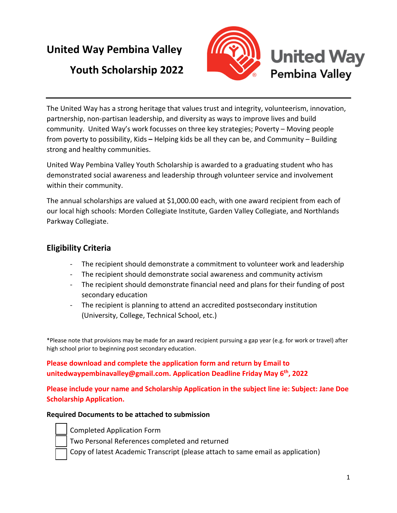# **United Way Pembina Valley**

## **Youth Scholarship 2022**





United Way Pembina Valley Youth Scholarship is awarded to a graduating student who has demonstrated social awareness and leadership through volunteer service and involvement within their community.

The annual scholarships are valued at \$1,000.00 each, with one award recipient from each of our local high schools: Morden Collegiate Institute, Garden Valley Collegiate, and Northlands Parkway Collegiate.

## **Eligibility Criteria**

- The recipient should demonstrate a commitment to volunteer work and leadership
- The recipient should demonstrate social awareness and community activism
- The recipient should demonstrate financial need and plans for their funding of post secondary education
- The recipient is planning to attend an accredited postsecondary institution (University, College, Technical School, etc.)

\*Please note that provisions may be made for an award recipient pursuing a gap year (e.g. for work or travel) after high school prior to beginning post secondary education.

### **Please download and complete the application form and return by Email to unitedwaypembinavalley@gmail.com. Application Deadline Friday May 6th, 2022**

**Please include your name and Scholarship Application in the subject line ie: Subject: Jane Doe Scholarship Application.**

#### **Required Documents to be attached to submission**

- - Completed Application Form
	- Two Personal References completed and returned
	- Copy of latest Academic Transcript (please attach to same email as application)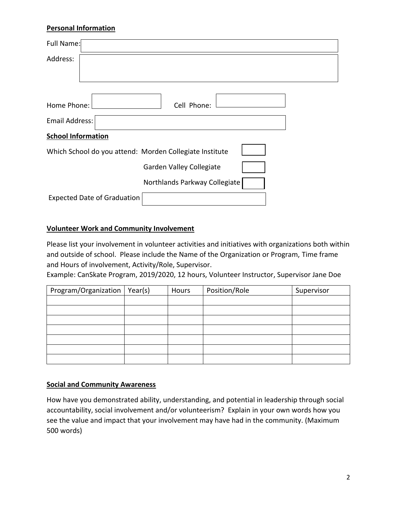#### **Personal Information**

| Full Name:                                              |
|---------------------------------------------------------|
| Address:                                                |
|                                                         |
|                                                         |
| Home Phone:<br>Cell Phone:                              |
| Email Address:                                          |
| <b>School Information</b>                               |
| Which School do you attend: Morden Collegiate Institute |
| Garden Valley Collegiate                                |
| Northlands Parkway Collegiate                           |
| <b>Expected Date of Graduation</b>                      |
|                                                         |

#### **Volunteer Work and Community Involvement**

Please list your involvement in volunteer activities and initiatives with organizations both within and outside of school. Please include the Name of the Organization or Program, Time frame and Hours of involvement, Activity/Role, Supervisor.

Example: CanSkate Program, 2019/2020, 12 hours, Volunteer Instructor, Supervisor Jane Doe

| Program/Organization | Year(s) | Hours | Position/Role | Supervisor |
|----------------------|---------|-------|---------------|------------|
|                      |         |       |               |            |
|                      |         |       |               |            |
|                      |         |       |               |            |
|                      |         |       |               |            |
|                      |         |       |               |            |
|                      |         |       |               |            |
|                      |         |       |               |            |

#### **Social and Community Awareness**

How have you demonstrated ability, understanding, and potential in leadership through social accountability, social involvement and/or volunteerism? Explain in your own words how you see the value and impact that your involvement may have had in the community. (Maximum 500 words)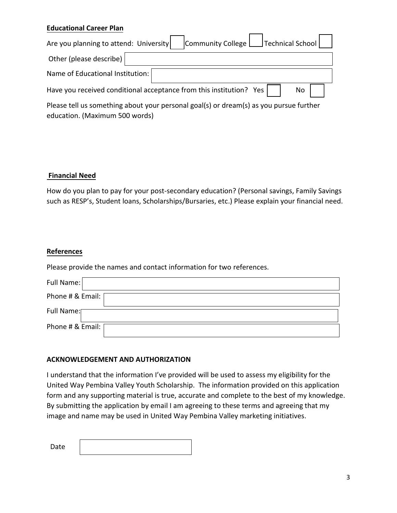#### **Educational Career Plan**

| Community College   Technical School  <br>Are you planning to attend: University        |      |
|-----------------------------------------------------------------------------------------|------|
| Other (please describe)                                                                 |      |
| Name of Educational Institution:                                                        |      |
| Have you received conditional acceptance from this institution? Yes $\vert \quad \vert$ | No I |
|                                                                                         |      |

Please tell us something about your personal goal(s) or dream(s) as you pursue further education. (Maximum 500 words)

#### **Financial Need**

How do you plan to pay for your post-secondary education? (Personal savings, Family Savings such as RESP's, Student loans, Scholarships/Bursaries, etc.) Please explain your financial need.

#### **References**

Please provide the names and contact information for two references.

| Full Name:         |
|--------------------|
| Phone # & Email: [ |
| Full Name:         |
| Phone # & Email: [ |

#### **ACKNOWLEDGEMENT AND AUTHORIZATION**

I understand that the information I've provided will be used to assess my eligibility for the United Way Pembina Valley Youth Scholarship. The information provided on this application form and any supporting material is true, accurate and complete to the best of my knowledge. By submitting the application by email I am agreeing to these terms and agreeing that my image and name may be used in United Way Pembina Valley marketing initiatives.

Date